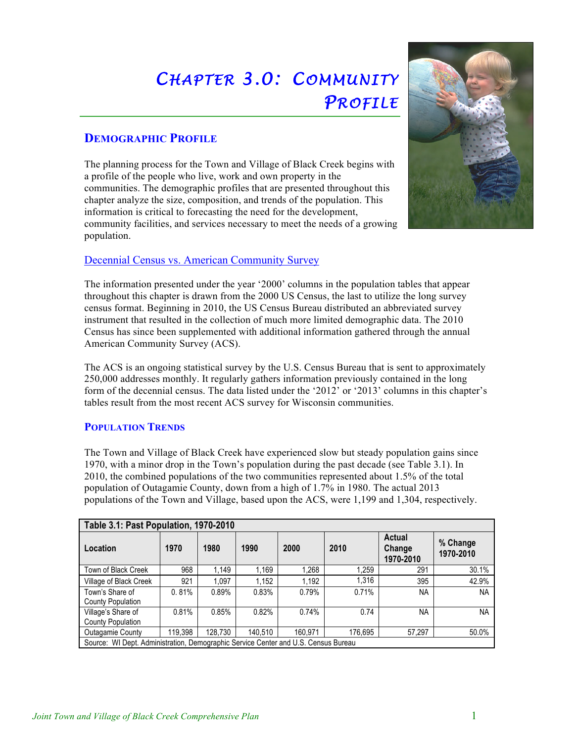# *CHAPTER 3.0: COMMUNITY PROFILE*

# **DEMOGRAPHIC PROFILE**

The planning process for the Town and Village of Black Creek begins with a profile of the people who live, work and own property in the communities. The demographic profiles that are presented throughout this chapter analyze the size, composition, and trends of the population. This information is critical to forecasting the need for the development, community facilities, and services necessary to meet the needs of a growing population.



The information presented under the year '2000' columns in the population tables that appear throughout this chapter is drawn from the 2000 US Census, the last to utilize the long survey census format. Beginning in 2010, the US Census Bureau distributed an abbreviated survey instrument that resulted in the collection of much more limited demographic data. The 2010 Census has since been supplemented with additional information gathered through the annual American Community Survey (ACS).

The ACS is an ongoing statistical survey by the U.S. Census Bureau that is sent to approximately 250,000 addresses monthly. It regularly gathers information previously contained in the long form of the decennial census. The data listed under the '2012' or '2013' columns in this chapter's tables result from the most recent ACS survey for Wisconsin communities.

# **POPULATION TRENDS**

The Town and Village of Black Creek have experienced slow but steady population gains since 1970, with a minor drop in the Town's population during the past decade (see Table 3.1). In 2010, the combined populations of the two communities represented about 1.5% of the total population of Outagamie County, down from a high of 1.7% in 1980. The actual 2013 populations of the Town and Village, based upon the ACS, were 1,199 and 1,304, respectively.

| Table 3.1: Past Population, 1970-2010                                              |         |         |         |         |         |                               |                       |  |
|------------------------------------------------------------------------------------|---------|---------|---------|---------|---------|-------------------------------|-----------------------|--|
| Location                                                                           | 1970    | 1980    | 1990    | 2000    | 2010    | Actual<br>Change<br>1970-2010 | % Change<br>1970-2010 |  |
| Town of Black Creek                                                                | 968     | .149    | 1.169   | 1.268   | 1.259   | 291                           | 30.1%                 |  |
| Village of Black Creek                                                             | 921     | 1.097   | 1,152   | 1,192   | 1.316   | 395                           | 42.9%                 |  |
| Town's Share of<br><b>County Population</b>                                        | 0.81%   | 0.89%   | 0.83%   | 0.79%   | 0.71%   | <b>NA</b>                     | <b>NA</b>             |  |
| Village's Share of<br><b>County Population</b>                                     | 0.81%   | 0.85%   | 0.82%   | 0.74%   | 0.74    | <b>NA</b>                     | <b>NA</b>             |  |
| Outagamie County                                                                   | 119.398 | 128.730 | 140.510 | 160.971 | 176.695 | 57,297                        | 50.0%                 |  |
| Source: WI Dept. Administration, Demographic Service Center and U.S. Census Bureau |         |         |         |         |         |                               |                       |  |

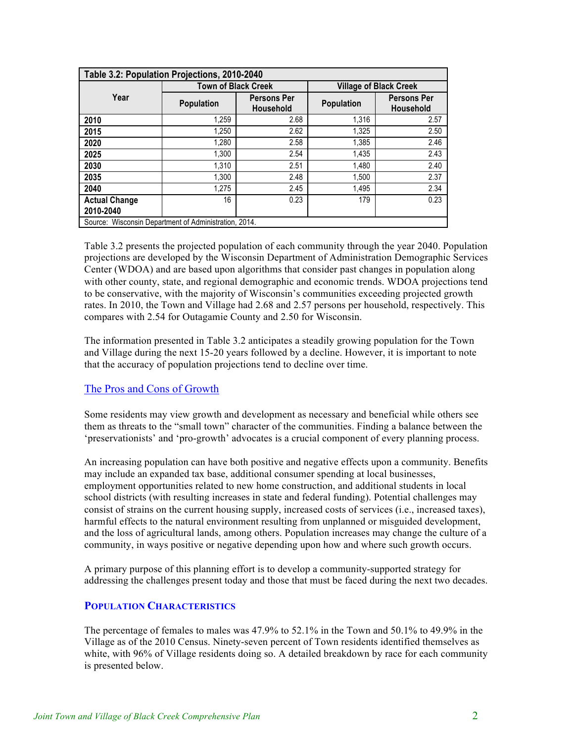| Table 3.2: Population Projections, 2010-2040          |                            |                                 |                   |                                        |  |  |  |
|-------------------------------------------------------|----------------------------|---------------------------------|-------------------|----------------------------------------|--|--|--|
|                                                       | <b>Town of Black Creek</b> |                                 |                   | <b>Village of Black Creek</b>          |  |  |  |
| Year                                                  | <b>Population</b>          | <b>Persons Per</b><br>Household | <b>Population</b> | <b>Persons Per</b><br><b>Household</b> |  |  |  |
| 2010                                                  | 1.259                      | 2.68                            | 1,316             | 2.57                                   |  |  |  |
| 2015                                                  | 1,250                      | 2.62                            | 1,325             | 2.50                                   |  |  |  |
| 2020                                                  | 1.280                      | 2.58                            | 1.385             | 2.46                                   |  |  |  |
| 2025                                                  | 1.300                      | 2.54                            | 1,435             | 2.43                                   |  |  |  |
| 2030                                                  | 1.310                      | 2.51                            | 1,480             | 2.40                                   |  |  |  |
| 2035                                                  | 1.300                      | 2.48                            | 1.500             | 2.37                                   |  |  |  |
| 2040                                                  | 1.275                      | 2.45                            | 1,495             | 2.34                                   |  |  |  |
| <b>Actual Change</b><br>2010-2040                     | 16                         | 0.23                            | 179               | 0.23                                   |  |  |  |
| Source: Wisconsin Department of Administration, 2014. |                            |                                 |                   |                                        |  |  |  |

Table 3.2 presents the projected population of each community through the year 2040. Population projections are developed by the Wisconsin Department of Administration Demographic Services Center (WDOA) and are based upon algorithms that consider past changes in population along with other county, state, and regional demographic and economic trends. WDOA projections tend to be conservative, with the majority of Wisconsin's communities exceeding projected growth rates. In 2010, the Town and Village had 2.68 and 2.57 persons per household, respectively. This compares with 2.54 for Outagamie County and 2.50 for Wisconsin.

The information presented in Table 3.2 anticipates a steadily growing population for the Town and Village during the next 15-20 years followed by a decline. However, it is important to note that the accuracy of population projections tend to decline over time.

## The Pros and Cons of Growth

Some residents may view growth and development as necessary and beneficial while others see them as threats to the "small town" character of the communities. Finding a balance between the 'preservationists' and 'pro-growth' advocates is a crucial component of every planning process.

An increasing population can have both positive and negative effects upon a community. Benefits may include an expanded tax base, additional consumer spending at local businesses, employment opportunities related to new home construction, and additional students in local school districts (with resulting increases in state and federal funding). Potential challenges may consist of strains on the current housing supply, increased costs of services (i.e., increased taxes), harmful effects to the natural environment resulting from unplanned or misguided development, and the loss of agricultural lands, among others. Population increases may change the culture of a community, in ways positive or negative depending upon how and where such growth occurs.

A primary purpose of this planning effort is to develop a community-supported strategy for addressing the challenges present today and those that must be faced during the next two decades.

#### **POPULATION CHARACTERISTICS**

The percentage of females to males was 47.9% to 52.1% in the Town and 50.1% to 49.9% in the Village as of the 2010 Census. Ninety-seven percent of Town residents identified themselves as white, with 96% of Village residents doing so. A detailed breakdown by race for each community is presented below.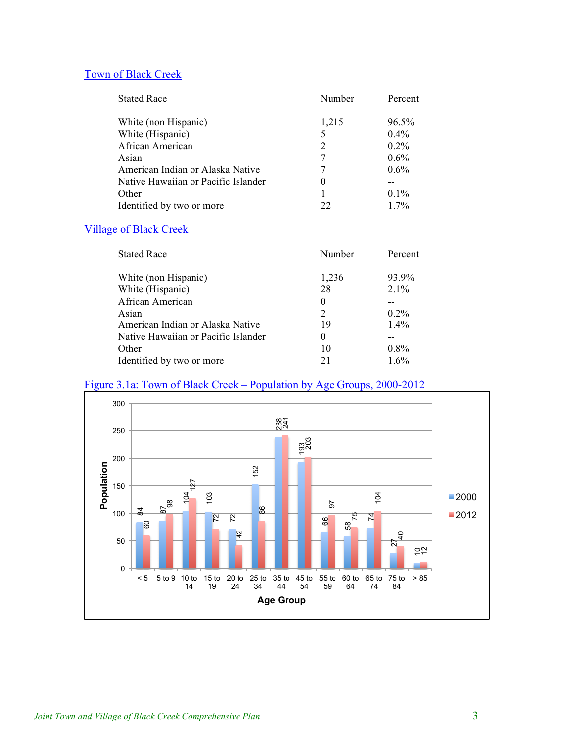# Town of Black Creek

| <b>Stated Race</b>                  | Number | Percent |
|-------------------------------------|--------|---------|
|                                     |        |         |
| White (non Hispanic)                | 1,215  | 96.5%   |
| White (Hispanic)                    | 5      | $0.4\%$ |
| African American                    | 2      | $0.2\%$ |
| Asian                               | 7      | $0.6\%$ |
| American Indian or Alaska Native    | 7      | $0.6\%$ |
| Native Hawaiian or Pacific Islander | 0      |         |
| Other                               |        | $0.1\%$ |
| Identified by two or more           | フフ     | 17%     |

# Village of Black Creek

| <b>Stated Race</b>                  | Number         | Percent |
|-------------------------------------|----------------|---------|
|                                     |                |         |
| White (non Hispanic)                | 1,236          | 93.9%   |
| White (Hispanic)                    | 28             | 2.1%    |
| African American                    | 0              |         |
| Asian                               | $\mathfrak{D}$ | $0.2\%$ |
| American Indian or Alaska Native    | 19             | 1.4%    |
| Native Hawaiian or Pacific Islander | 0              |         |
| Other                               | 10             | $0.8\%$ |
| Identified by two or more           | 21             | $1.6\%$ |

# Figure 3.1a: Town of Black Creek – Population by Age Groups, 2000-2012

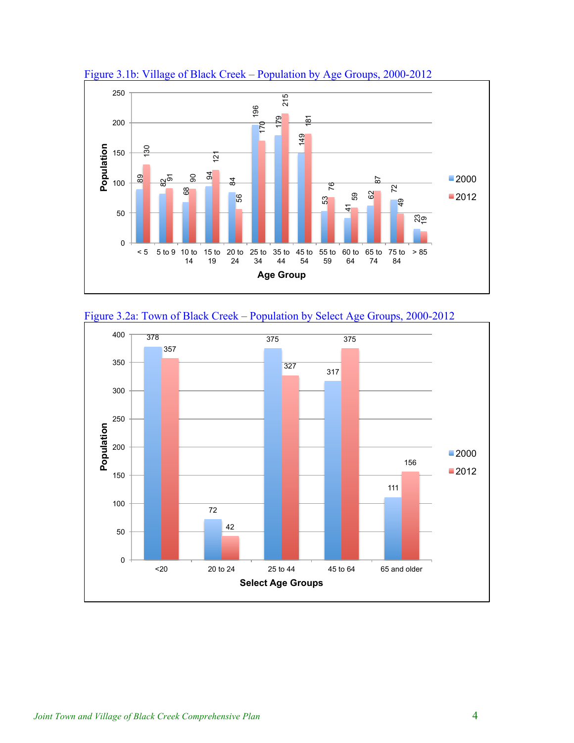

Figure 3.1b: Village of Black Creek – Population by Age Groups, 2000-2012



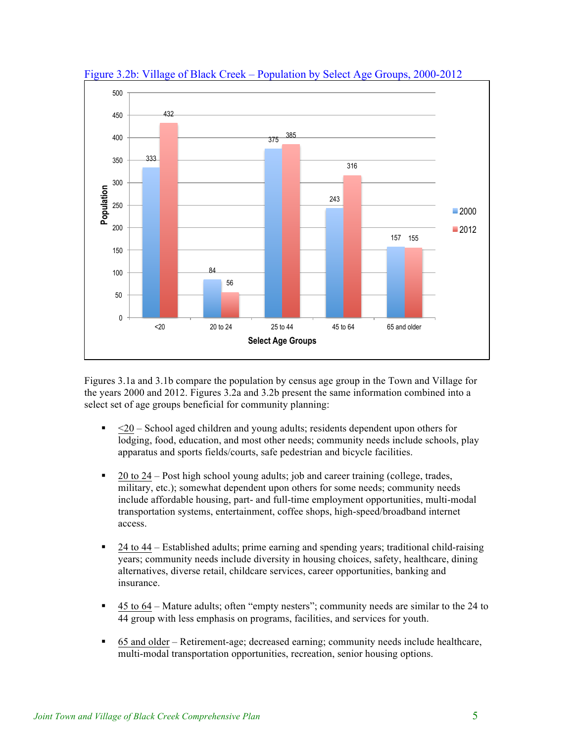

Figure 3.2b: Village of Black Creek – Population by Select Age Groups, 2000-2012

Figures 3.1a and 3.1b compare the population by census age group in the Town and Village for the years 2000 and 2012. Figures 3.2a and 3.2b present the same information combined into a select set of age groups beneficial for community planning:

- $\sim$  <20 School aged children and young adults; residents dependent upon others for lodging, food, education, and most other needs; community needs include schools, play apparatus and sports fields/courts, safe pedestrian and bicycle facilities.
- ! 20 to 24 Post high school young adults; job and career training (college, trades, military, etc.); somewhat dependent upon others for some needs; community needs include affordable housing, part- and full-time employment opportunities, multi-modal transportation systems, entertainment, coffee shops, high-speed/broadband internet access.
- ! 24 to 44 Established adults; prime earning and spending years; traditional child-raising years; community needs include diversity in housing choices, safety, healthcare, dining alternatives, diverse retail, childcare services, career opportunities, banking and insurance.
- ! 45 to 64 Mature adults; often "empty nesters"; community needs are similar to the 24 to 44 group with less emphasis on programs, facilities, and services for youth.
- ! 65 and older Retirement-age; decreased earning; community needs include healthcare, multi-modal transportation opportunities, recreation, senior housing options.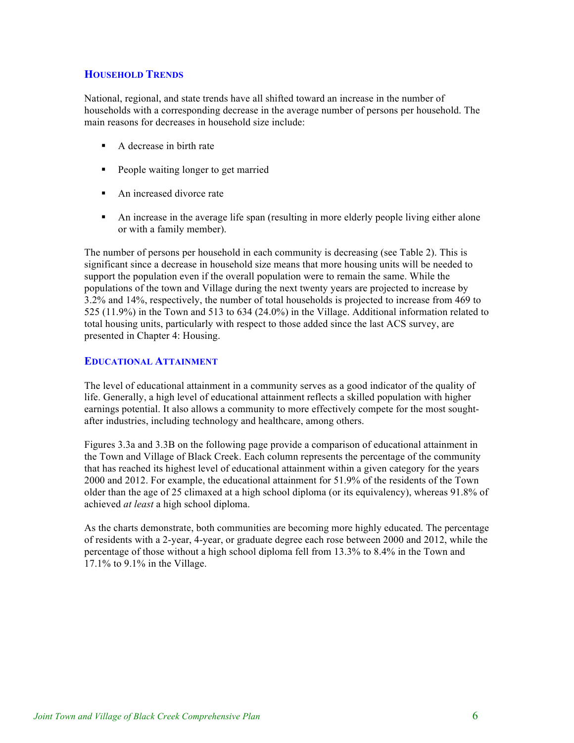## **HOUSEHOLD TRENDS**

National, regional, and state trends have all shifted toward an increase in the number of households with a corresponding decrease in the average number of persons per household. The main reasons for decreases in household size include:

- ! A decrease in birth rate
- ! People waiting longer to get married
- An increased divorce rate
- ! An increase in the average life span (resulting in more elderly people living either alone or with a family member).

The number of persons per household in each community is decreasing (see Table 2). This is significant since a decrease in household size means that more housing units will be needed to support the population even if the overall population were to remain the same. While the populations of the town and Village during the next twenty years are projected to increase by 3.2% and 14%, respectively, the number of total households is projected to increase from 469 to 525 (11.9%) in the Town and 513 to 634 (24.0%) in the Village. Additional information related to total housing units, particularly with respect to those added since the last ACS survey, are presented in Chapter 4: Housing.

### **EDUCATIONAL ATTAINMENT**

The level of educational attainment in a community serves as a good indicator of the quality of life. Generally, a high level of educational attainment reflects a skilled population with higher earnings potential. It also allows a community to more effectively compete for the most soughtafter industries, including technology and healthcare, among others.

Figures 3.3a and 3.3B on the following page provide a comparison of educational attainment in the Town and Village of Black Creek. Each column represents the percentage of the community that has reached its highest level of educational attainment within a given category for the years 2000 and 2012. For example, the educational attainment for 51.9% of the residents of the Town older than the age of 25 climaxed at a high school diploma (or its equivalency), whereas 91.8% of achieved *at least* a high school diploma.

As the charts demonstrate, both communities are becoming more highly educated. The percentage of residents with a 2-year, 4-year, or graduate degree each rose between 2000 and 2012, while the percentage of those without a high school diploma fell from 13.3% to 8.4% in the Town and 17.1% to 9.1% in the Village.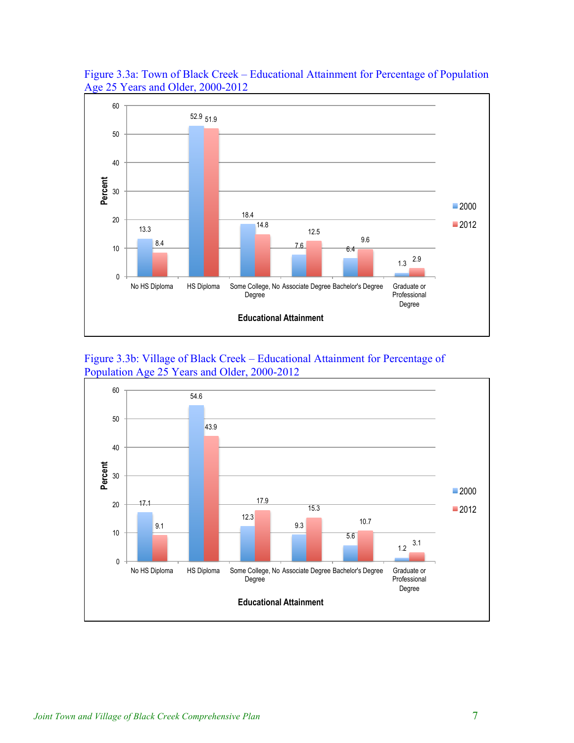

Figure 3.3a: Town of Black Creek – Educational Attainment for Percentage of Population Age 25 Years and Older, 2000-2012



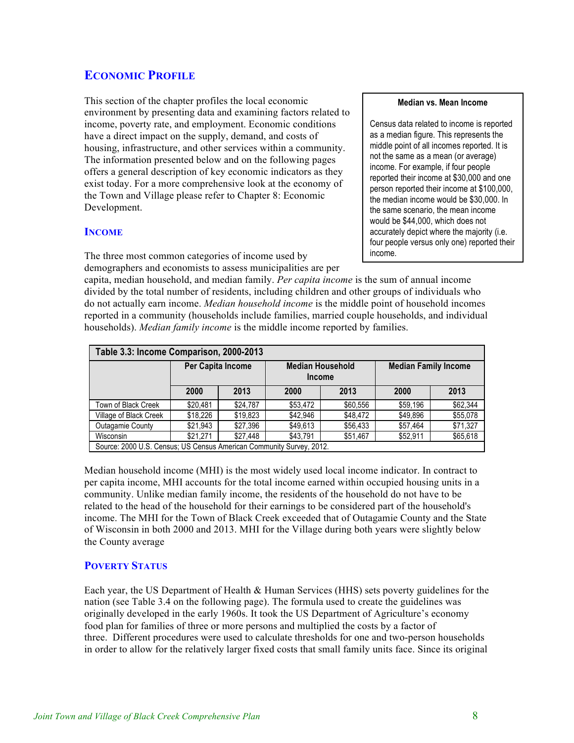# **ECONOMIC PROFILE**

This section of the chapter profiles the local economic environment by presenting data and examining factors related to income, poverty rate, and employment. Economic conditions have a direct impact on the supply, demand, and costs of housing, infrastructure, and other services within a community. The information presented below and on the following pages offers a general description of key economic indicators as they exist today. For a more comprehensive look at the economy of the Town and Village please refer to Chapter 8: Economic Development.

### **INCOME**

The three most common categories of income used by demographers and economists to assess municipalities are per

capita, median household, and median family. *Per capita income* is the sum of annual income divided by the total number of residents, including children and other groups of individuals who do not actually earn income. *Median household income* is the middle point of household incomes reported in a community (households include families, married couple households, and individual households). *Median family income* is the middle income reported by families.

| Table 3.3: Income Comparison, 2000-2013                              |          |                                                               |          |          |                             |          |  |
|----------------------------------------------------------------------|----------|---------------------------------------------------------------|----------|----------|-----------------------------|----------|--|
|                                                                      |          | Per Capita Income<br><b>Median Household</b><br><b>Income</b> |          |          | <b>Median Family Income</b> |          |  |
|                                                                      | 2000     | 2013                                                          | 2000     | 2013     | 2000                        | 2013     |  |
| Town of Black Creek                                                  | \$20.481 | \$24.787                                                      | \$53.472 | \$60.556 | \$59.196                    | \$62,344 |  |
| Village of Black Creek                                               | \$18,226 | \$19,823                                                      | \$42,946 | \$48,472 | \$49,896                    | \$55,078 |  |
| <b>Outagamie County</b>                                              | \$21.943 | \$27.396                                                      | \$49.613 | \$56.433 | \$57.464                    | \$71,327 |  |
| Wisconsin                                                            | \$21.271 | \$27.448                                                      | \$43.791 | \$51.467 | \$52,911                    | \$65,618 |  |
| Source: 2000 U.S. Census; US Census American Community Survey, 2012. |          |                                                               |          |          |                             |          |  |

Median household income (MHI) is the most widely used local income indicator. In contract to per capita income, MHI accounts for the total income earned within occupied housing units in a community. Unlike median family income, the residents of the household do not have to be related to the head of the household for their earnings to be considered part of the household's income. The MHI for the Town of Black Creek exceeded that of Outagamie County and the State of Wisconsin in both 2000 and 2013. MHI for the Village during both years were slightly below the County average

## **POVERTY STATUS**

Each year, the US Department of Health & Human Services (HHS) sets poverty guidelines for the nation (see Table 3.4 on the following page). The formula used to create the guidelines was originally developed in the early 1960s. It took the US Department of Agriculture's economy food plan for families of three or more persons and multiplied the costs by a factor of three. Different procedures were used to calculate thresholds for one and two-person households in order to allow for the relatively larger fixed costs that small family units face. Since its original

#### **Median vs. Mean Income**

Census data related to income is reported as a median figure. This represents the middle point of all incomes reported. It is not the same as a mean (or average) income. For example, if four people reported their income at \$30,000 and one person reported their income at \$100,000, the median income would be \$30,000. In the same scenario, the mean income would be \$44,000, which does not accurately depict where the majority (i.e. four people versus only one) reported their income.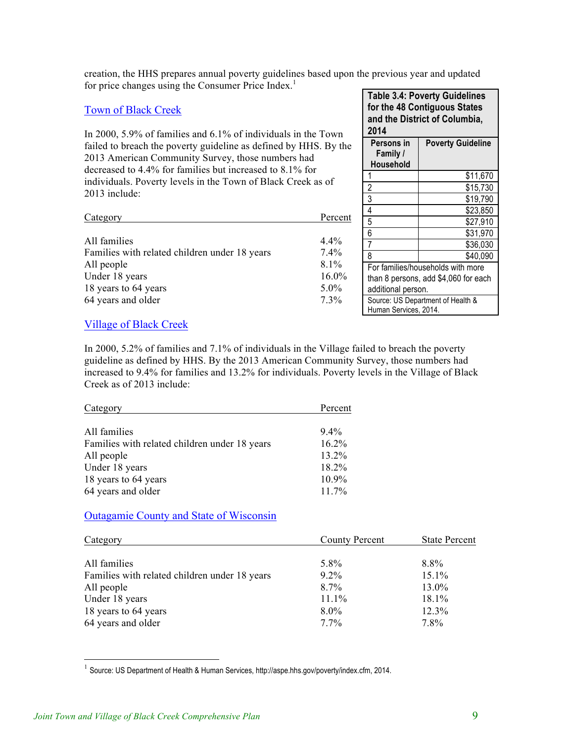creation, the HHS prepares annual poverty guidelines based upon the previous year and updated for price changes using the Consumer Price Index.<sup>1</sup>

## Town of Black Creek

In 2000, 5.9% of families and 6.1% of individuals in the Town failed to breach the poverty guideline as defined by HHS. By the 2013 American Community Survey, those numbers had decreased to 4.4% for families but increased to 8.1% for individuals. Poverty levels in the Town of Black Creek as of 2013 include:

| Category                                      | Percent  |
|-----------------------------------------------|----------|
| All families                                  | $4.4\%$  |
| Families with related children under 18 years | $7.4\%$  |
| All people                                    | $8.1\%$  |
| Under 18 years                                | $16.0\%$ |
| 18 years to 64 years                          | $5.0\%$  |
| 64 years and older                            | $7.3\%$  |

**Table 3.4: Poverty Guidelines for the 48 Contiguous States and the District of Columbia, 2014 Persons in Family / Household Poverty Guideline** 1 \$11,670 2 \$15,730<br>3 \$19,790 3 \$19,790 4 \$23,850  $\frac{$27,910}{6}$ 6 \$31,970 7 \$36,030 8 \$40,090 For families/households with more than 8 persons, add \$4,060 for each additional person. Source: US Department of Health & Human Services, 2014.

### Village of Black Creek

In 2000, 5.2% of families and 7.1% of individuals in the Village failed to breach the poverty guideline as defined by HHS. By the 2013 American Community Survey, those numbers had increased to 9.4% for families and 13.2% for individuals. Poverty levels in the Village of Black Creek as of 2013 include:

| Category                                      | Percent  |
|-----------------------------------------------|----------|
|                                               |          |
| All families                                  | $9.4\%$  |
| Families with related children under 18 years | $16.2\%$ |
| All people                                    | 13.2%    |
| Under 18 years                                | 18.2%    |
| 18 years to 64 years                          | 10.9%    |
| 64 years and older                            | 11.7%    |

#### Outagamie County and State of Wisconsin

| Category                                      | County Percent | <b>State Percent</b> |
|-----------------------------------------------|----------------|----------------------|
| All families                                  | 5.8%           | 8.8%                 |
| Families with related children under 18 years | $9.2\%$        | 15.1%                |
| All people                                    | $8.7\%$        | 13.0%                |
| Under 18 years                                | 11.1%          | 18.1%                |
| 18 years to 64 years                          | $8.0\%$        | 12.3%                |
| 64 years and older                            | $7.7\%$        | 7.8%                 |

<sup>1</sup> Source: US Department of Health & Human Services, http://aspe.hhs.gov/poverty/index.cfm, 2014.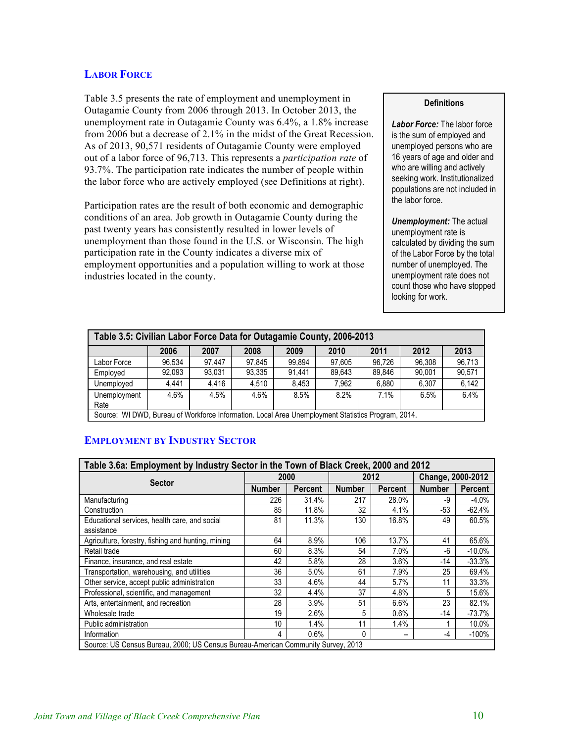## **LABOR FORCE**

Table 3.5 presents the rate of employment and unemployment in Outagamie County from 2006 through 2013. In October 2013, the unemployment rate in Outagamie County was 6.4%, a 1.8% increase from 2006 but a decrease of 2.1% in the midst of the Great Recession. As of 2013, 90,571 residents of Outagamie County were employed out of a labor force of 96,713. This represents a *participation rate* of 93.7%. The participation rate indicates the number of people within the labor force who are actively employed (see Definitions at right).

Participation rates are the result of both economic and demographic conditions of an area. Job growth in Outagamie County during the past twenty years has consistently resulted in lower levels of unemployment than those found in the U.S. or Wisconsin. The high participation rate in the County indicates a diverse mix of employment opportunities and a population willing to work at those industries located in the county.

#### **Definitions**

*Labor Force:* The labor force is the sum of employed and unemployed persons who are 16 years of age and older and who are willing and actively seeking work. Institutionalized populations are not included in the labor force.

*Unemployment:* The actual unemployment rate is calculated by dividing the sum of the Labor Force by the total number of unemployed. The unemployment rate does not count those who have stopped looking for work.

| Table 3.5: Civilian Labor Force Data for Outagamie County, 2006-2013                 |                                                                                                    |        |        |        |        |        |        |        |
|--------------------------------------------------------------------------------------|----------------------------------------------------------------------------------------------------|--------|--------|--------|--------|--------|--------|--------|
| 2011<br>2012<br>2013<br>2008<br>2007<br>2006<br>2009<br>2010                         |                                                                                                    |        |        |        |        |        |        |        |
| Labor Force                                                                          | 96.534                                                                                             | 97.447 | 97,845 | 99.894 | 97,605 | 96.726 | 96,308 | 96,713 |
| Employed                                                                             | 92.093                                                                                             | 93,031 | 93,335 | 91.441 | 89,643 | 89,846 | 90.001 | 90,571 |
| Unemployed                                                                           | 4.441                                                                                              | 4.416  | 4.510  | 8.453  | 7,962  | 6.880  | 6.307  | 6.142  |
| 6.4%<br>8.2%<br>8.5%<br>6.5%<br>4.5%<br>4.6%<br>4.6%<br>7.1%<br>Unemployment<br>Rate |                                                                                                    |        |        |        |        |        |        |        |
|                                                                                      | Source: WI DWD, Bureau of Workforce Information. Local Area Unemployment Statistics Program, 2014. |        |        |        |        |        |        |        |

## **EMPLOYMENT BY INDUSTRY SECTOR**

| Table 3.6a: Employment by Industry Sector in the Town of Black Creek, 2000 and 2012 |               |                |               |                |                   |                |
|-------------------------------------------------------------------------------------|---------------|----------------|---------------|----------------|-------------------|----------------|
| <b>Sector</b>                                                                       |               | 2000           |               | 2012           | Change, 2000-2012 |                |
|                                                                                     | <b>Number</b> | <b>Percent</b> | <b>Number</b> | <b>Percent</b> | Number            | <b>Percent</b> |
| Manufacturing                                                                       | 226           | 31.4%          | 217           | 28.0%          | -9                | $-4.0%$        |
| Construction                                                                        | 85            | 11.8%          | 32            | 4.1%           | -53               | $-62.4%$       |
| Educational services, health care, and social                                       | 81            | 11.3%          | 130           | 16.8%          | 49                | 60.5%          |
| assistance                                                                          |               |                |               |                |                   |                |
| Agriculture, forestry, fishing and hunting, mining                                  | 64            | 8.9%           | 106           | 13.7%          | 41                | 65.6%          |
| Retail trade                                                                        | 60            | 8.3%           | 54            | 7.0%           | -6                | $-10.0\%$      |
| Finance, insurance, and real estate                                                 | 42            | 5.8%           | 28            | 3.6%           | -14               | $-33.3%$       |
| Transportation, warehousing, and utilities                                          | 36            | 5.0%           | 61            | 7.9%           | 25                | 69.4%          |
| Other service, accept public administration                                         | 33            | 4.6%           | 44            | 5.7%           | 11                | 33.3%          |
| Professional, scientific, and management                                            | 32            | 4.4%           | 37            | 4.8%           | 5                 | 15.6%          |
| Arts, entertainment, and recreation                                                 | 28            | $3.9\%$        | 51            | 6.6%           | 23                | 82.1%          |
| Wholesale trade                                                                     | 19            | 2.6%           | 5             | $0.6\%$        | $-14$             | $-73.7%$       |
| Public administration                                                               | 10            | 1.4%           | 11            | 1.4%           |                   | 10.0%          |
| Information                                                                         | 4             | 0.6%           | 0             | --             | -4                | $-100\%$       |
| Source: US Census Bureau, 2000; US Census Bureau-American Community Survey, 2013    |               |                |               |                |                   |                |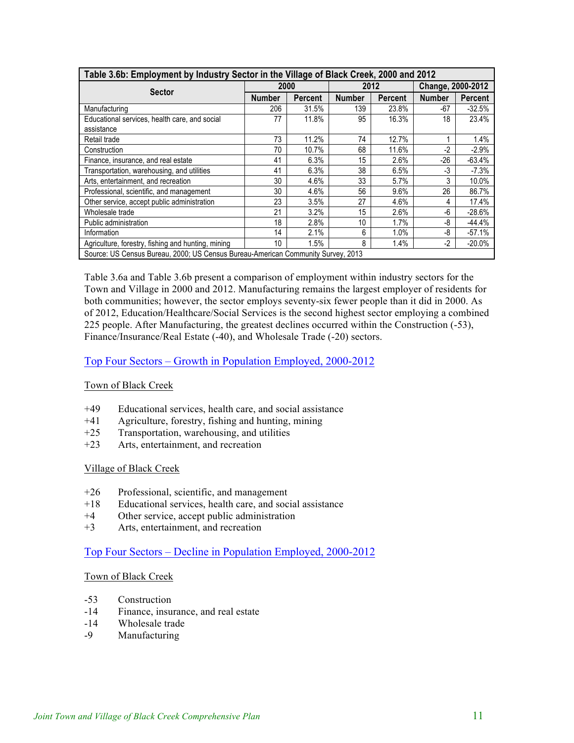| Table 3.6b: Employment by Industry Sector in the Village of Black Creek, 2000 and 2012 |               |                |               |         |                   |                |
|----------------------------------------------------------------------------------------|---------------|----------------|---------------|---------|-------------------|----------------|
| <b>Sector</b>                                                                          | 2000          |                | 2012          |         | Change, 2000-2012 |                |
|                                                                                        | <b>Number</b> | <b>Percent</b> | <b>Number</b> | Percent | <b>Number</b>     | <b>Percent</b> |
| Manufacturing                                                                          | 206           | 31.5%          | 139           | 23.8%   | $-67$             | $-32.5%$       |
| Educational services, health care, and social                                          | 77            | 11.8%          | 95            | 16.3%   | 18                | 23.4%          |
| assistance                                                                             |               |                |               |         |                   |                |
| Retail trade                                                                           | 73            | 11.2%          | 74            | 12.7%   |                   | 1.4%           |
| Construction                                                                           | 70            | 10.7%          | 68            | 11.6%   | $-2$              | $-2.9%$        |
| Finance, insurance, and real estate                                                    | 41            | 6.3%           | 15            | 2.6%    | $-26$             | $-63.4%$       |
| Transportation, warehousing, and utilities                                             | 41            | 6.3%           | 38            | 6.5%    | $-3$              | $-7.3%$        |
| Arts, entertainment, and recreation                                                    | 30            | 4.6%           | 33            | 5.7%    | 3                 | 10.0%          |
| Professional, scientific, and management                                               | 30            | 4.6%           | 56            | 9.6%    | 26                | 86.7%          |
| Other service, accept public administration                                            | 23            | 3.5%           | 27            | 4.6%    | 4                 | 17.4%          |
| Wholesale trade                                                                        | 21            | 3.2%           | 15            | 2.6%    | -6                | $-28.6\%$      |
| Public administration                                                                  | 18            | 2.8%           | 10            | $1.7\%$ | -8                | $-44.4%$       |
| Information                                                                            | 14            | 2.1%           | 6             | 1.0%    | -8                | $-57.1%$       |
| Agriculture, forestry, fishing and hunting, mining                                     | 10            | 1.5%           | 8             | 1.4%    | $-2$              | $-20.0%$       |
| Source: US Census Bureau, 2000; US Census Bureau-American Community Survey, 2013       |               |                |               |         |                   |                |

Table 3.6a and Table 3.6b present a comparison of employment within industry sectors for the Town and Village in 2000 and 2012. Manufacturing remains the largest employer of residents for both communities; however, the sector employs seventy-six fewer people than it did in 2000. As of 2012, Education/Healthcare/Social Services is the second highest sector employing a combined 225 people. After Manufacturing, the greatest declines occurred within the Construction (-53), Finance/Insurance/Real Estate (-40), and Wholesale Trade (-20) sectors.

## Top Four Sectors – Growth in Population Employed, 2000-2012

#### Town of Black Creek

- +49 Educational services, health care, and social assistance
- +41 Agriculture, forestry, fishing and hunting, mining
- +25 Transportation, warehousing, and utilities
- +23 Arts, entertainment, and recreation

#### Village of Black Creek

- +26 Professional, scientific, and management
- +18 Educational services, health care, and social assistance
- +4 Other service, accept public administration
- +3 Arts, entertainment, and recreation

# Top Four Sectors – Decline in Population Employed, 2000-2012

#### Town of Black Creek

- -53 Construction
- -14 Finance, insurance, and real estate
- -14 Wholesale trade
- -9 Manufacturing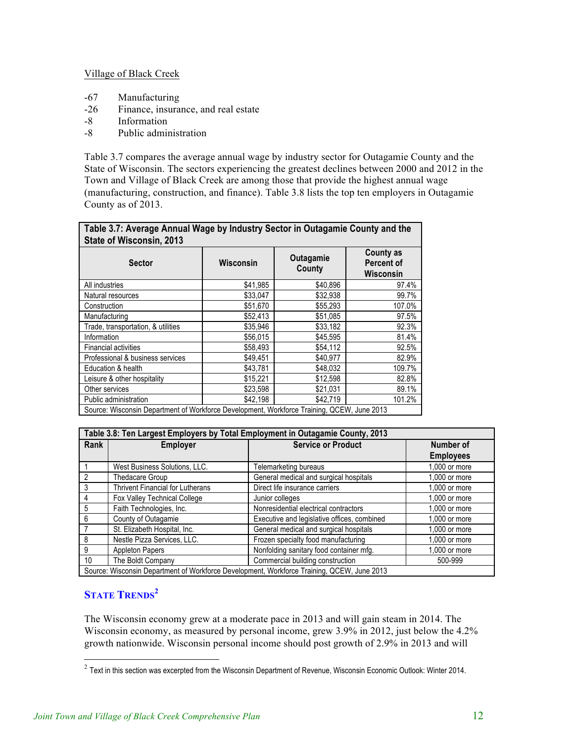#### Village of Black Creek

- -67 Manufacturing
- -26 Finance, insurance, and real estate
- -8 Information
- -8 Public administration

Table 3.7 compares the average annual wage by industry sector for Outagamie County and the State of Wisconsin. The sectors experiencing the greatest declines between 2000 and 2012 in the Town and Village of Black Creek are among those that provide the highest annual wage (manufacturing, construction, and finance). Table 3.8 lists the top ten employers in Outagamie County as of 2013.

| Table 3.7: Average Annual Wage by Industry Sector in Outagamie County and the<br>State of Wisconsin, 2013<br><b>County as</b><br>Outagamie |           |          |                         |  |  |  |  |
|--------------------------------------------------------------------------------------------------------------------------------------------|-----------|----------|-------------------------|--|--|--|--|
| Sector                                                                                                                                     | Wisconsin | County   | Percent of<br>Wisconsin |  |  |  |  |
| All industries                                                                                                                             | \$41,985  | \$40,896 | 97.4%                   |  |  |  |  |
| Natural resources                                                                                                                          | \$33,047  | \$32,938 | 99.7%                   |  |  |  |  |
| Construction                                                                                                                               | \$51,670  | \$55,293 | 107.0%                  |  |  |  |  |
| Manufacturing                                                                                                                              | \$52,413  | \$51,085 | 97.5%                   |  |  |  |  |
| Trade, transportation, & utilities                                                                                                         | \$35,946  | \$33,182 | 92.3%                   |  |  |  |  |
| Information                                                                                                                                | \$56,015  | \$45,595 | 81.4%                   |  |  |  |  |
| <b>Financial activities</b>                                                                                                                | \$58,493  | \$54,112 | 92.5%                   |  |  |  |  |
| Professional & business services                                                                                                           | \$49.451  | \$40.977 | 82.9%                   |  |  |  |  |
| Education & health                                                                                                                         | \$43,781  | \$48,032 | 109.7%                  |  |  |  |  |
| Leisure & other hospitality                                                                                                                | \$15,221  | \$12,598 | 82.8%                   |  |  |  |  |
| Other services                                                                                                                             | \$23,598  | \$21,031 | 89.1%                   |  |  |  |  |
| Public administration                                                                                                                      | \$42.198  | \$42,719 | 101.2%                  |  |  |  |  |
| Source: Wisconsin Department of Workforce Development, Workforce Training, QCEW, June 2013                                                 |           |          |                         |  |  |  |  |

| Table 3.8: Ten Largest Employers by Total Employment in Outagamie County, 2013             |                                         |                                             |                  |
|--------------------------------------------------------------------------------------------|-----------------------------------------|---------------------------------------------|------------------|
| Rank                                                                                       | <b>Employer</b>                         | <b>Service or Product</b>                   | Number of        |
|                                                                                            |                                         |                                             | <b>Employees</b> |
|                                                                                            | West Business Solutions, LLC.           | Telemarketing bureaus                       | 1.000 or more    |
| 2                                                                                          | Thedacare Group                         | General medical and surgical hospitals      | $1.000$ or more  |
| $\mathcal{R}$                                                                              | <b>Thrivent Financial for Lutherans</b> | Direct life insurance carriers              | 1.000 or more    |
| 4                                                                                          | <b>Fox Valley Technical College</b>     | Junior colleges                             | 1,000 or more    |
| $\overline{5}$                                                                             | Faith Technologies, Inc.                | Nonresidential electrical contractors       | 1,000 or more    |
| 6                                                                                          | County of Outagamie                     | Executive and legislative offices, combined | 1.000 or more    |
|                                                                                            | St. Elizabeth Hospital, Inc.            | General medical and surgical hospitals      | $1.000$ or more  |
| 8                                                                                          | Nestle Pizza Services, LLC.             | Frozen specialty food manufacturing         | 1,000 or more    |
| 9                                                                                          | <b>Appleton Papers</b>                  | Nonfolding sanitary food container mfg.     | 1,000 or more    |
| 10                                                                                         | The Boldt Company                       | Commercial building construction            | 500-999          |
| Source: Wisconsin Department of Workforce Development, Workforce Training, QCEW, June 2013 |                                         |                                             |                  |

# **STATE TRENDS<sup>2</sup>**

The Wisconsin economy grew at a moderate pace in 2013 and will gain steam in 2014. The Wisconsin economy, as measured by personal income, grew 3.9% in 2012, just below the 4.2% growth nationwide. Wisconsin personal income should post growth of 2.9% in 2013 and will

 $2$  Text in this section was excerpted from the Wisconsin Department of Revenue, Wisconsin Economic Outlook: Winter 2014.